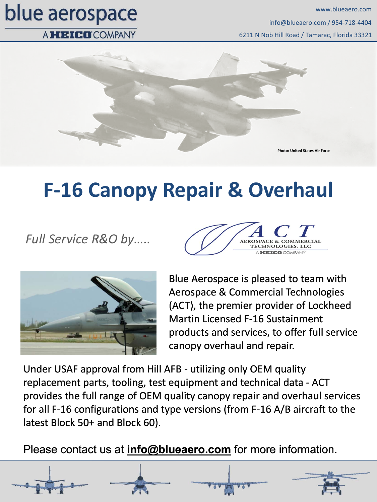# blue aerospace

6211 N Nob Hill Road / Tamarac, Florida 33321 info@blueaero.com / 954‐718‐4404 www.blueaero.com

#### A HEICO COMPANY



### **F‐16 Canopy Repair & Overhaul**

*Full Service R&O by…..*





Blue Aerospace is pleased to team with Aerospace & Commercial Technologies (ACT), the premier provider of Lockheed Martin Licensed F‐16 Sustainment products and services, to offer full service canopy overhaul and repair.

Under USAF approval from Hill AFB ‐ utilizing only OEM quality replacement parts, tooling, test equipment and technical data ‐ ACT provides the full range of OEM quality canopy repair and overhaul services for all F‐16 configurations and type versions (from F‐16 A/B aircraft to the latest Block 50+ and Block 60).

Please contact us at **info@blueaero.com** for more information.